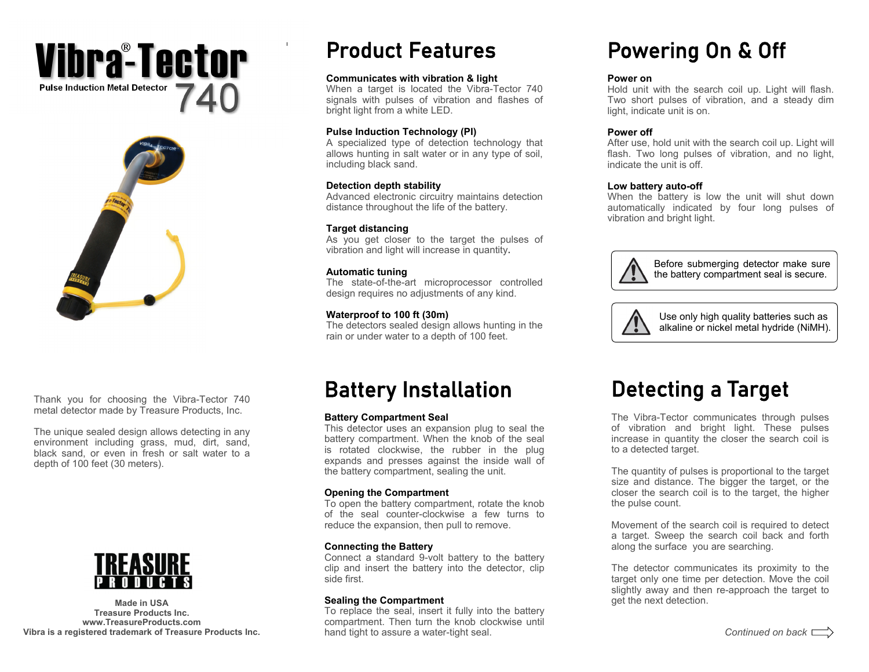### **Pulse Induction Metal Detector** 740Vibraº-Tector



Thank you for choosing the Vibra-Tector 740 metal detector made by Treasure Products, Inc.

The unique sealed design allows detecting in any environment including grass, mud, dirt, sand, black sand, or even in fresh or salt water to a depth of 100 feet (30 meters).



**Treasure Products Inc. www.TreasureProducts.com Vibra is a registered trademark of Treasure Products Inc.** 

### Product Features

#### **Communicates with vibration & light**

When a target is located the Vibra-Tector 740 signals with pulses of vibration and flashes of bright light from a white LED.

#### **Pulse Induction Technology (PI)**

A specialized type of detection technology that allows hunting in salt water or in any type of soil, including black sand.

#### **Detection depth stability**

Advanced electronic circuitry maintains detection distance throughout the life of the battery.

### **Target distancing**

As you get closer to the target the pulses of vibration and light will increase in quantity**.** 

### **Automatic tuning**

The state-of-the-art microprocessor controlled design requires no adjustments of any kind.

### **Waterproof to 100 ft (30m)**

The detectors sealed design allows hunting in the rain or under water to a depth of 100 feet.

## Battery Installation

### **Battery Compartment Seal**

This detector uses an expansion plug to seal the battery compartment. When the knob of the seal is rotated clockwise, the rubber in the plug expands and presses against the inside wall of the battery compartment, sealing the unit.

### **Opening the Compartment**

To open the battery compartment, rotate the knob of the seal counter-clockwise a few turns to reduce the expansion, then pull to remove.

### **Connecting the Battery**

Connect a standard 9-volt battery to the battery clip and insert the battery into the detector, clip side first.

### **Sealing the Compartment Made in USA** get the next detection.

To replace the seal, insert it fully into the battery compartment. Then turn the knob clockwise until hand tight to assure a water-tight seal.

# Powering On & Off

### **Power on**

Hold unit with the search coil up. Light will flash. Two short pulses of vibration, and a steady dim light, indicate unit is on.

### **Power off**

After use, hold unit with the search coil up. Light will flash. Two long pulses of vibration, and no light, indicate the unit is off.

#### **Low battery auto-off**

When the battery is low the unit will shut down automatically indicated by four long pulses of vibration and bright light.



Before submerging detector make sure the battery compartment seal is secure.



Use only high quality batteries such as alkaline or nickel metal hydride (NiMH).

# Detecting a Target

The Vibra-Tector communicates through pulses of vibration and bright light. These pulses increase in quantity the closer the search coil is to a detected target.

The quantity of pulses is proportional to the target size and distance. The bigger the target, or the closer the search coil is to the target, the higher the pulse count.

Movement of the search coil is required to detect a target. Sweep the search coil back and forth along the surface you are searching.

The detector communicates its proximity to the target only one time per detection. Move the coil slightly away and then re-approach the target to get the next detection.